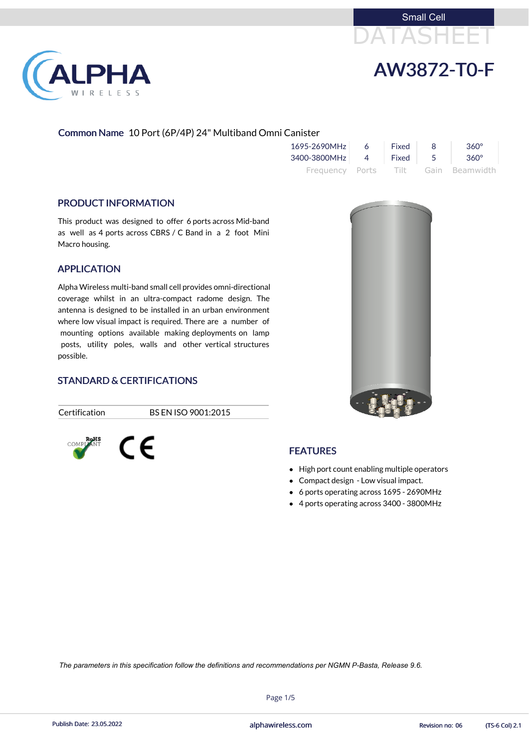



# Common Name 10 Port (6P/4P) 24" Multiband Omni Canister

| 1695-2690MHz | 6       | Fixed | 360°                                |
|--------------|---------|-------|-------------------------------------|
| 3400-3800MHz | 4 Fixed |       | 360°                                |
|              |         |       | Frequency Ports Tilt Gain Beamwidth |

## PRODUCT INFORMATION

**PHA** 

RELESS

This product was designed to offer 6 ports across Mid-band as well as 4 ports across CBRS / C Band in a 2 foot Mini Macro housing.

# APPLICATION

- High port count enabling multiple operators
- Compact design Low visual impact.
- 6 ports operating across 1695 2690MHz
- 4 ports operating across 3400 3800MHz

Alpha Wireless multi-band small cell provides omni-directional coverage whilst in an ultra-compact radome design. The antenna is designed to be installed in an urban environment where low visual impact is required. There are a number of mounting options available making deployments on lamp posts, utility poles, walls and other vertical structures possible.

# STANDARD & CERTIFICATIONS

Certification BS EN ISO 9001:2015





# **FEATURES**

Page 1/5

Publish Date: 23.05.2022 **Exercise Service Service Cole 2.1** alphawireless.com **Revision no: 06** (TS-6 Col) 2.1

*The parameters in this specification follow the definitions and recommendations per NGMN P-Basta, Release 9.6.*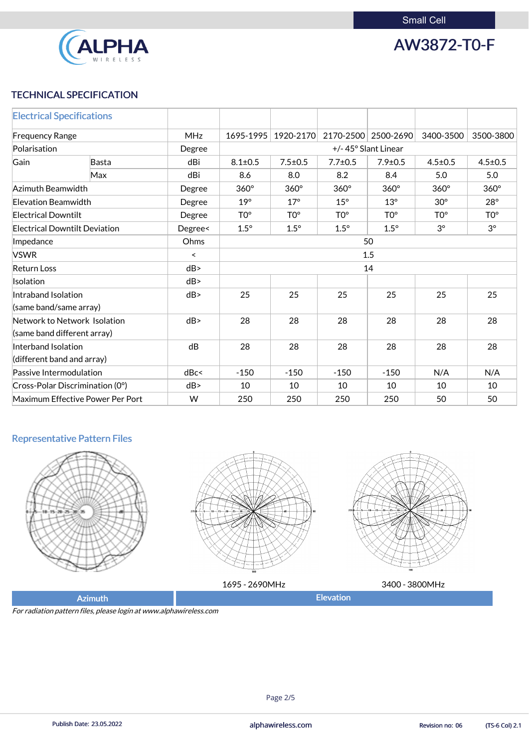

AW3872-T0-F

# TECHNICAL SPECIFICATION

| <b>Electrical Specifications</b>              |                                  |         |                 |                     |                 |                 |                 |                 |  |
|-----------------------------------------------|----------------------------------|---------|-----------------|---------------------|-----------------|-----------------|-----------------|-----------------|--|
| <b>MHz</b><br><b>Frequency Range</b>          |                                  |         | 1695-1995       | 1920-2170           | 2170-2500       | 2500-2690       | 3400-3500       | 3500-3800       |  |
| Polarisation                                  |                                  | Degree  |                 | +/-45° Slant Linear |                 |                 |                 |                 |  |
| Gain                                          | <b>Basta</b>                     | dBi     | $8.1 \pm 0.5$   | $7.5 \pm 0.5$       | $7.7 \pm 0.5$   | $7.9 \pm 0.5$   | $4.5 \pm 0.5$   | $4.5 \pm 0.5$   |  |
|                                               | <b>Max</b>                       | dBi     | 8.6             | 8.0                 | 8.2             | 8.4             | 5.0             | 5.0             |  |
| Azimuth Beamwidth                             |                                  | Degree  | $360^\circ$     | $360^\circ$         | $360^\circ$     | $360^\circ$     | $360^\circ$     | $360^\circ$     |  |
| <b>Elevation Beamwidth</b>                    |                                  | Degree  | $19^\circ$      | $17^\circ$          | $15^\circ$      | $13^\circ$      | $30^\circ$      | $28^\circ$      |  |
| <b>Electrical Downtilt</b>                    |                                  | Degree  | TO <sup>o</sup> | TO <sup>o</sup>     | TO <sup>o</sup> | TO <sup>o</sup> | TO <sup>o</sup> | TO <sup>o</sup> |  |
| <b>Electrical Downtilt Deviation</b>          |                                  | Degree< | $1.5^\circ$     | $1.5^\circ$         | $1.5^\circ$     | $1.5^\circ$     | $3^\circ$       | $3^\circ$       |  |
| Impedance                                     | Ohms                             | 50      |                 |                     |                 |                 |                 |                 |  |
| <b>VSWR</b><br>$\prec$                        |                                  |         | 1.5             |                     |                 |                 |                 |                 |  |
| dB<br><b>Return Loss</b>                      |                                  |         | 14              |                     |                 |                 |                 |                 |  |
| Isolation                                     |                                  | dB      |                 |                     |                 |                 |                 |                 |  |
| Intraband Isolation<br>(same band/same array) |                                  | dB      | 25              | 25                  | 25              | 25              | 25              | 25              |  |
| (same band different array)                   | Network to Network Isolation     | dB      | 28              | 28                  | 28              | 28              | 28              | 28              |  |
| Interband Isolation                           |                                  | dB      | 28              | 28                  | 28              | 28              | 28              | 28              |  |
| (different band and array)                    |                                  |         |                 |                     |                 |                 |                 |                 |  |
| Passive Intermodulation                       |                                  | dBc<    | $-150$          | $-150$              | $-150$          | $-150$          | N/A             | N/A             |  |
|                                               | Cross-Polar Discrimination (0°)  | dB      | 10              | 10                  | 10              | 10              | 10              | 10              |  |
|                                               | Maximum Effective Power Per Port | W       | 250             | 250                 | 250             | 250             | 50              | 50              |  |

# Representative Pattern Files













| 2690MHz<br>.695 - 1 | <b>OMH<sub>z</sub></b><br>3400 |
|---------------------|--------------------------------|
| Flevation           |                                |
|                     |                                |

For radiation pattern files, please login at www.alphawireless.com



Publish Date: 23.05.2022 **Exercise Service Service Cole 2.1** alphawireless.com **Revision no: 06** (TS-6 Col) 2.1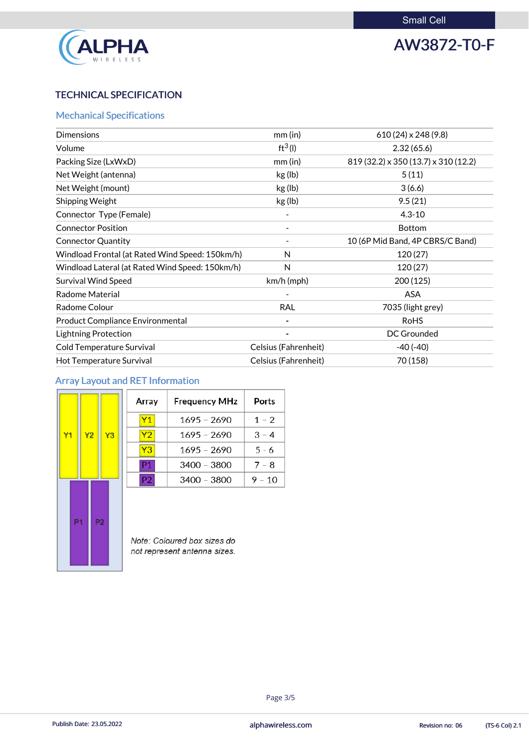

# AW3872-T0-F

# TECHNICAL SPECIFICATION

# Mechanical Specifications

| <b>Dimensions</b>                               | $mm$ (in)            | $610(24) \times 248(9.8)$            |
|-------------------------------------------------|----------------------|--------------------------------------|
| Volume                                          | $ft^3(1)$            | 2.32(65.6)                           |
| Packing Size (LxWxD)                            | $mm$ (in)            | 819 (32.2) x 350 (13.7) x 310 (12.2) |
| Net Weight (antenna)                            | kg (lb)              | 5(11)                                |
| Net Weight (mount)                              | kg (lb)              | 3(6.6)                               |
| Shipping Weight                                 | kg (lb)              | 9.5(21)                              |
| Connector Type (Female)                         |                      | $4.3 - 10$                           |
| <b>Connector Position</b>                       |                      | <b>Bottom</b>                        |
| <b>Connector Quantity</b>                       |                      | 10 (6P Mid Band, 4P CBRS/C Band)     |
| Windload Frontal (at Rated Wind Speed: 150km/h) | N                    | 120(27)                              |
| Windload Lateral (at Rated Wind Speed: 150km/h) | N                    | 120(27)                              |
| <b>Survival Wind Speed</b>                      | $km/h$ (mph)         | 200 (125)                            |
| <b>Radome Material</b>                          |                      | <b>ASA</b>                           |
| Radome Colour                                   | <b>RAL</b>           | 7035 (light grey)                    |
| <b>Product Compliance Environmental</b>         |                      | <b>RoHS</b>                          |
| <b>Lightning Protection</b>                     |                      | <b>DC Grounded</b>                   |
| <b>Cold Temperature Survival</b>                | Celsius (Fahrenheit) | $-40(-40)$                           |
| <b>Hot Temperature Survival</b>                 | Celsius (Fahrenheit) | 70 (158)                             |

# Array Layout and RET Information

|                |                |                |    | Array          | <b>Frequency MHz</b>        | Ports    |
|----------------|----------------|----------------|----|----------------|-----------------------------|----------|
|                |                |                |    | <b>Y1</b>      | $1695 - 2690$               | $1 - 2$  |
| Y1             | Y <sub>2</sub> |                | Y3 | Y2             | $1695 - 2690$               | $3 - 4$  |
|                |                |                |    | Y <sub>3</sub> | 1695 - 2690                 | $5 - 6$  |
|                |                |                |    | P1             | 3400 - 3800                 | $7 - 8$  |
|                |                |                |    | P <sub>2</sub> | $3400 - 3800$               | $9 - 10$ |
| P <sub>1</sub> |                | P <sub>2</sub> |    |                | Note: Coloured box sizes do |          |

not represent antenna sizes.



## Page 3/5

Publish Date: 23.05.2022 **Exercise Service Service Cole 2.1** alphawireless.com **Revision no: 06** (TS-6 Col) 2.1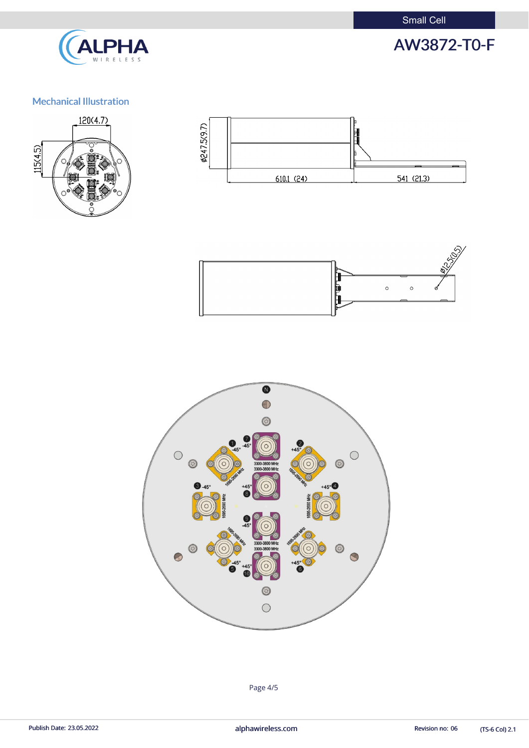Small Cell



# AW3872-T0-F

# Mechanical Illustration









(TS-6 Col) 2.1

Page 4/5

Publish Date: 23.05.2022 **alphawireless.com** and a series and a series of the Revision no: 06